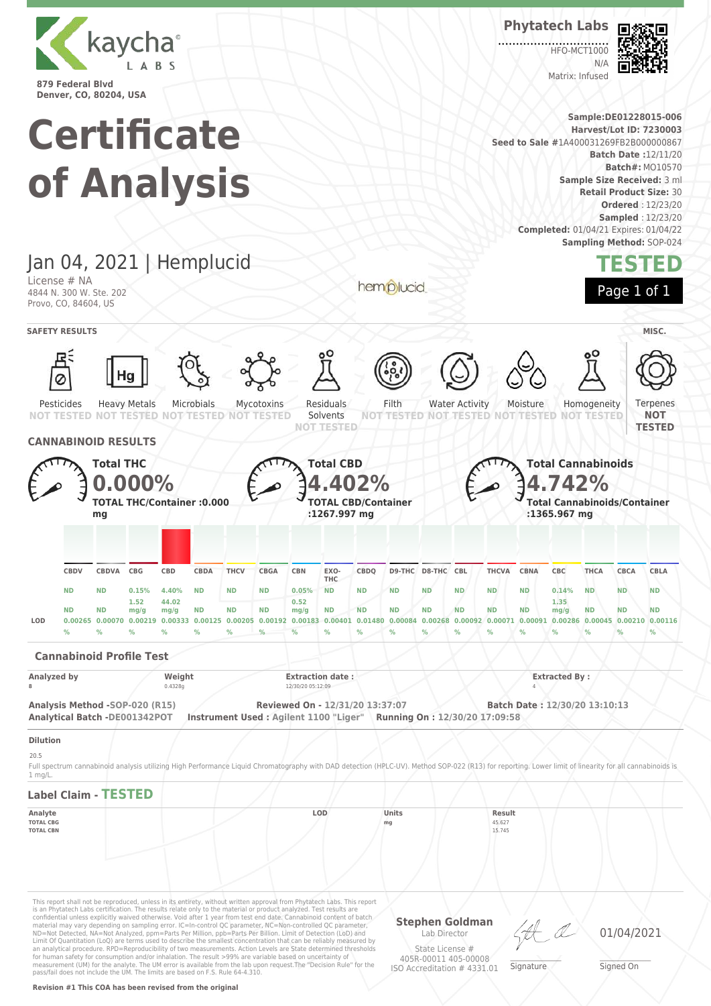



Matrix: Infused

**HEO-MCT1000**  $N/L$ **Sample:DE01228015-006 Harvest/Lot ID: 7230003**



This report shall not be reproduced, unless in its entirety, without written approval from Phytatech Labs. This report<br>is an Phytatech Labs certification. The results relate only to the material or product analyzed. Test r confidential unless explicitly waived otherwise. Void after 1 year from test end date. Cannabinoid content of batch material may vary depending on sampling error. IC=In-control QC parameter, NC=Non-controlled QC parameter, ND=Not Detected, NA=Not Analyzed, ppm=Parts Per Million, ppb=Parts Per Billion. Limit of Detection (LoD) and<br>Limit Of Quantitation (LoQ) are terms used to describe the smallest concentration that can be reliably measured b for human safety for consumption and/or inhalation. The result >99% are variable based on uncertainty of measurement (UM) for the analyte. The UM error is available from the lab upon request.The "Decision Rule" for the pass/fail does not include the UM. The limits are based on F.S. Rule 64-4.310.

#### **Revision #1 This COA has been revised from the original**

**Stephen Goldman** Lab Director State License # 405R-00011 405-00008

ISO Accreditation # 4331.01

01/04/2021

\_\_\_\_\_\_\_\_\_\_\_\_\_\_\_\_\_\_\_ Signed On

Signature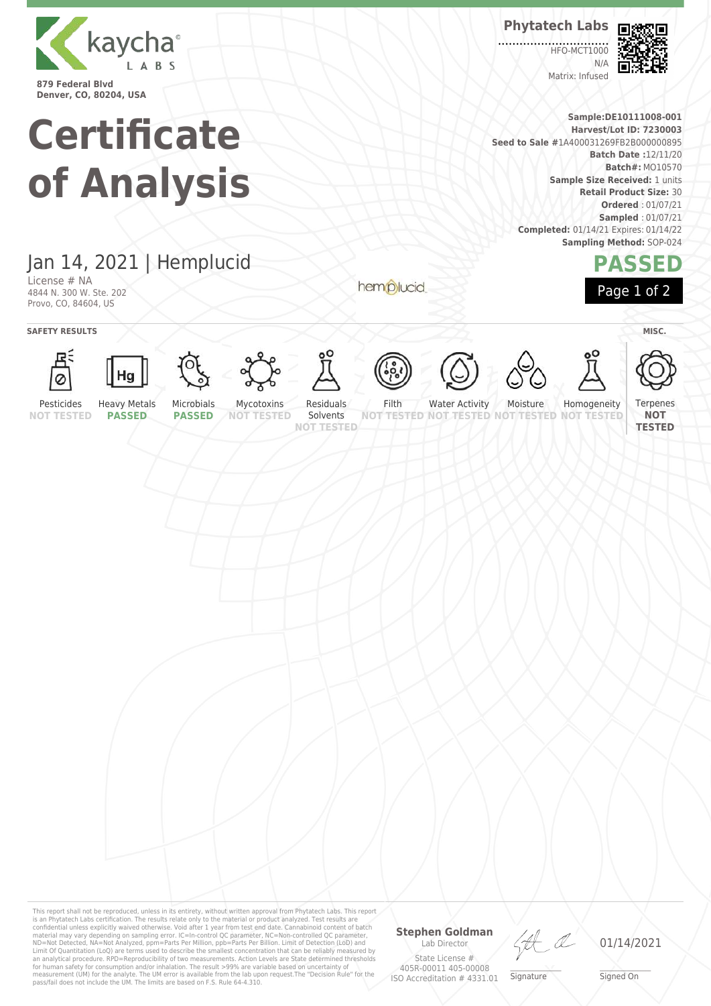

**Denver, CO, 80204, USA**

# **Certificate of Analysis**

**Phytatech Labs**

**HEO-MCT1000**  $N/L$ Matrix: Infused



**Sample:DE10111008-001 Harvest/Lot ID: 7230003 Seed to Sale #**1A400031269FB2B000000895 **Batch Date :**12/11/20 **Batch#:** MO10570 **Sample Size Received:** 1 units **Retail Product Size:** 30 **Ordered** : 01/07/21 **Sampled** : 01/07/21 **Completed:** 01/14/21 Expires: 01/14/22 **Sampling Method:** SOP-024

### **PASSED** Page 1 of 2

## Jan 14, 2021 | Hemplucid

License # NA 4844 N. 300 W. Ste. 202 Provo, CO, 84604, US

**SAFETY RESULTS** MISC.









Heavy Metals



















Pesticides

Solvents

Filth **NOT TESTED NOT TESTED**

Moisture **TESTED NOT** 

Homogeneity **NOT TESTED**



**NOT TESTED PASSED**

**PASSED**

**NOT TESTED**

**NOT TESTED**

hemplucid

Water Activity

This report shall not be reproduced, unless in its entirety, without written approval from Phytatech Labs. This report<br>is an Phytatech Labs certification. The results relate only to the material or product analyzed. Test

#### **Stephen Goldman** Lab Director

State License # 405R-00011 405-00008 ISO Accreditation # 4331.01

HA

\_\_\_\_\_\_\_\_\_\_\_\_\_\_\_\_\_\_\_ Signature

01/14/2021

\_\_\_\_\_\_\_\_\_\_\_\_\_\_\_\_\_\_\_ Signed On